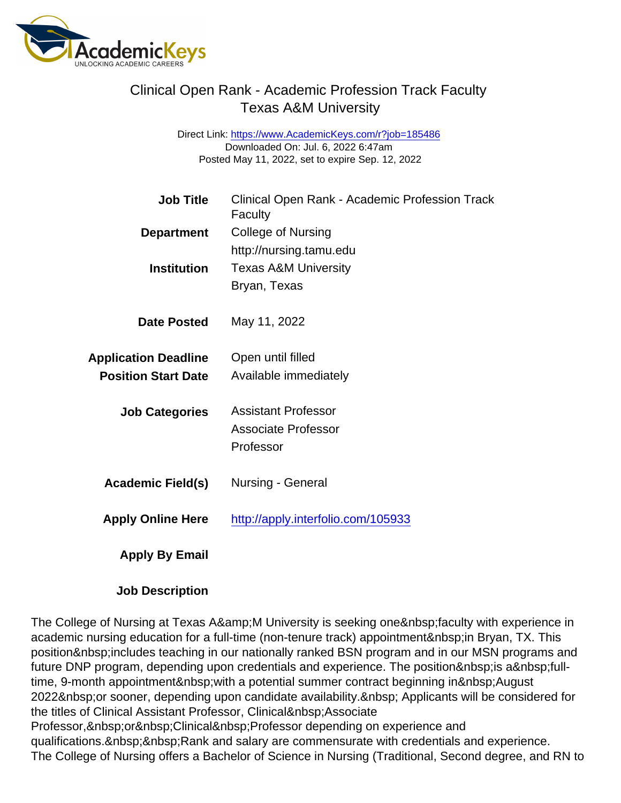Direct Link: <https://www.AcademicKeys.com/r?job=185486> Downloaded On: Jul. 6, 2022 6:47am Posted May 11, 2022, set to expire Sep. 12, 2022

| <b>Job Title</b>            | Clinical Open Rank - Academic Profession Track<br>Faculty |
|-----------------------------|-----------------------------------------------------------|
| Department                  | <b>College of Nursing</b>                                 |
|                             | http://nursing.tamu.edu                                   |
| Institution                 | <b>Texas A&amp;M University</b>                           |
|                             | Bryan, Texas                                              |
| Date Posted                 | May 11, 2022                                              |
| <b>Application Deadline</b> | Open until filled                                         |
| <b>Position Start Date</b>  | Available immediately                                     |
| <b>Job Categories</b>       | <b>Assistant Professor</b>                                |
|                             | <b>Associate Professor</b>                                |
|                             | Professor                                                 |
| Academic Field(s)           | Nursing - General                                         |
| Apply Online Here           | http://apply.interfolio.com/105933                        |
| Apply By Email              |                                                           |
|                             |                                                           |

Job Description

The College of Nursing at Texas A&M University is seeking one faculty with experience in academic nursing education for a full-time (non-tenure track) appointment in Bryan, TX. This position includes teaching in our nationally ranked BSN program and in our MSN programs and future DNP program, depending upon credentials and experience. The position is a fulltime, 9-month appointment with a potential summer contract beginning in August 2022 or sooner, depending upon candidate availability. Applicants will be considered for the titles of Clinical Assistant Professor, Clinical Associate

Professor, or Clinical Professor depending on experience and qualifications. & nbsp; & nbsp; Rank and salary are commensurate with credentials and experience. The College of Nursing offers a Bachelor of Science in Nursing (Traditional, Second degree, and RN to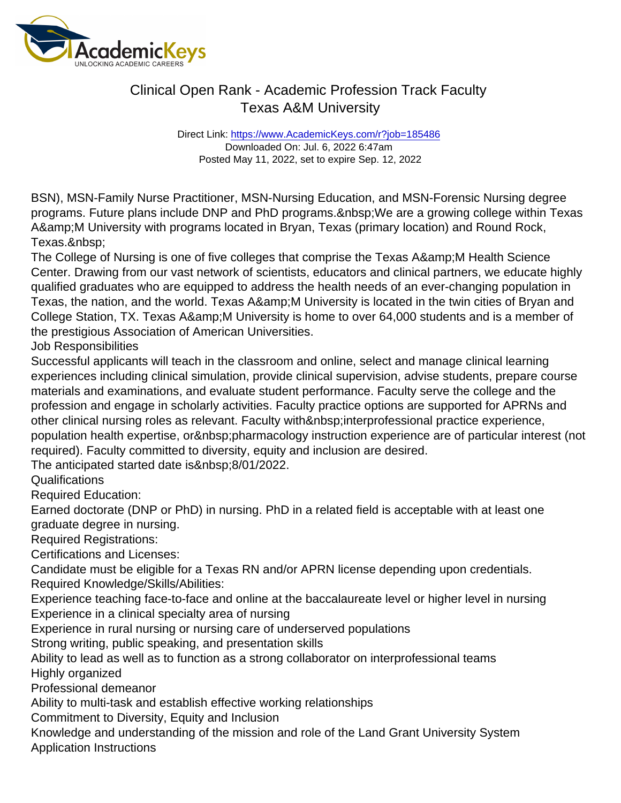Direct Link: <https://www.AcademicKeys.com/r?job=185486> Downloaded On: Jul. 6, 2022 6:47am Posted May 11, 2022, set to expire Sep. 12, 2022

BSN), MSN-Family Nurse Practitioner, MSN-Nursing Education, and MSN-Forensic Nursing degree programs. Future plans include DNP and PhD programs. We are a growing college within Texas A&M University with programs located in Bryan, Texas (primary location) and Round Rock, Texas.

The College of Nursing is one of five colleges that comprise the Texas A& M Health Science Center. Drawing from our vast network of scientists, educators and clinical partners, we educate highly qualified graduates who are equipped to address the health needs of an ever-changing population in Texas, the nation, and the world. Texas A&M University is located in the twin cities of Bryan and College Station, TX. Texas A&M University is home to over 64,000 students and is a member of the prestigious Association of American Universities.

Job Responsibilities

Successful applicants will teach in the classroom and online, select and manage clinical learning experiences including clinical simulation, provide clinical supervision, advise students, prepare course materials and examinations, and evaluate student performance. Faculty serve the college and the profession and engage in scholarly activities. Faculty practice options are supported for APRNs and other clinical nursing roles as relevant. Faculty with & nbsp; interprofessional practice experience, population health expertise, or pharmacology instruction experience are of particular interest (not required). Faculty committed to diversity, equity and inclusion are desired.

The anticipated started date is&nbsp:8/01/2022.

**Qualifications** 

Required Education:

Earned doctorate (DNP or PhD) in nursing. PhD in a related field is acceptable with at least one graduate degree in nursing.

Required Registrations:

Certifications and Licenses:

Candidate must be eligible for a Texas RN and/or APRN license depending upon credentials. Required Knowledge/Skills/Abilities:

Experience teaching face-to-face and online at the baccalaureate level or higher level in nursing Experience in a clinical specialty area of nursing

Experience in rural nursing or nursing care of underserved populations

Strong writing, public speaking, and presentation skills

Ability to lead as well as to function as a strong collaborator on interprofessional teams Highly organized

Professional demeanor

Ability to multi-task and establish effective working relationships

Commitment to Diversity, Equity and Inclusion

Knowledge and understanding of the mission and role of the Land Grant University System Application Instructions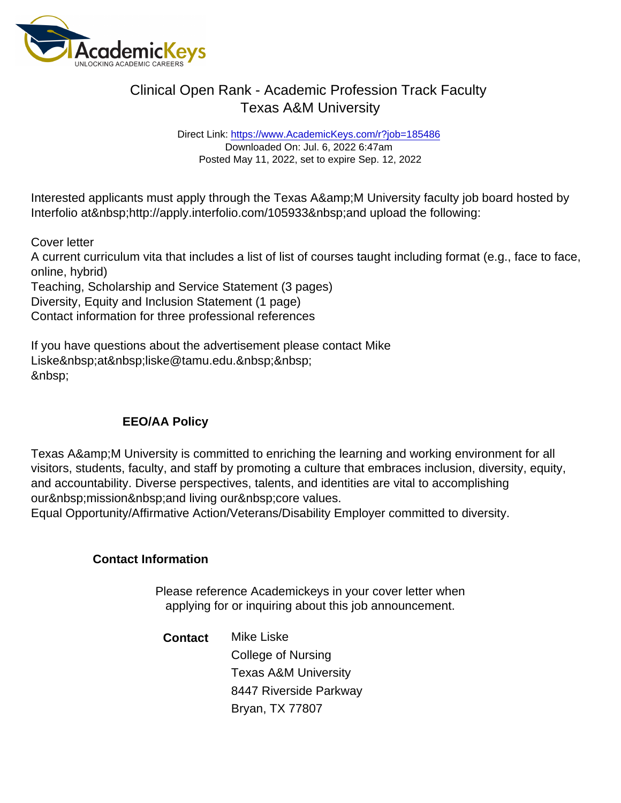Direct Link: <https://www.AcademicKeys.com/r?job=185486> Downloaded On: Jul. 6, 2022 6:47am Posted May 11, 2022, set to expire Sep. 12, 2022

Interested applicants must apply through the Texas A&M University faculty job board hosted by Interfolio at http://apply.interfolio.com/105933 and upload the following:

Cover letter

A current curriculum vita that includes a list of list of courses taught including format (e.g., face to face, online, hybrid)

Teaching, Scholarship and Service Statement (3 pages) Diversity, Equity and Inclusion Statement (1 page) Contact information for three professional references

If you have questions about the advertisement please contact Mike Liske at liske@tamu.edu. &nbsp:

#### EEO/AA Policy

Texas A& M University is committed to enriching the learning and working environment for all visitors, students, faculty, and staff by promoting a culture that embraces inclusion, diversity, equity, and accountability. Diverse perspectives, talents, and identities are vital to accomplishing our mission and living our core values.

Equal Opportunity/Affirmative Action/Veterans/Disability Employer committed to diversity.

Contact Information

Please reference Academickeys in your cover letter when applying for or inquiring about this job announcement.

Contact Mike Liske College of Nursing Texas A&M University 8447 Riverside Parkway Bryan, TX 77807